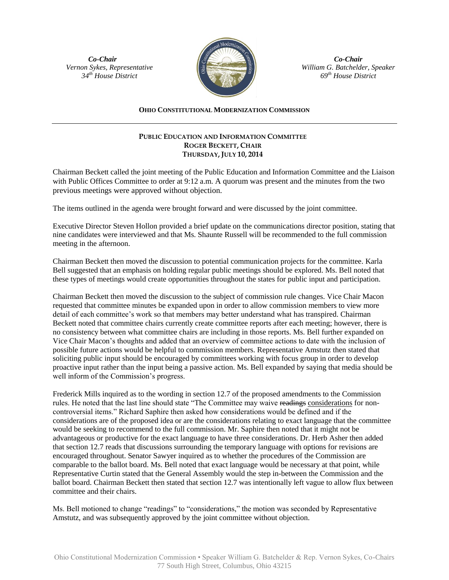*Co-Chair Vernon Sykes, Representative 34th House District*



*Co-Chair William G. Batchelder, Speaker 69th House District*

## **OHIO CONSTITUTIONAL MODERNIZATION COMMISSION**

## **PUBLIC EDUCATION AND INFORMATION COMMITTEE ROGER BECKETT, CHAIR THURSDAY, JULY 10, 2014**

Chairman Beckett called the joint meeting of the Public Education and Information Committee and the Liaison with Public Offices Committee to order at 9:12 a.m. A quorum was present and the minutes from the two previous meetings were approved without objection.

The items outlined in the agenda were brought forward and were discussed by the joint committee.

Executive Director Steven Hollon provided a brief update on the communications director position, stating that nine candidates were interviewed and that Ms. Shaunte Russell will be recommended to the full commission meeting in the afternoon.

Chairman Beckett then moved the discussion to potential communication projects for the committee. Karla Bell suggested that an emphasis on holding regular public meetings should be explored. Ms. Bell noted that these types of meetings would create opportunities throughout the states for public input and participation.

Chairman Beckett then moved the discussion to the subject of commission rule changes. Vice Chair Macon requested that committee minutes be expanded upon in order to allow commission members to view more detail of each committee's work so that members may better understand what has transpired. Chairman Beckett noted that committee chairs currently create committee reports after each meeting; however, there is no consistency between what committee chairs are including in those reports. Ms. Bell further expanded on Vice Chair Macon's thoughts and added that an overview of committee actions to date with the inclusion of possible future actions would be helpful to commission members. Representative Amstutz then stated that soliciting public input should be encouraged by committees working with focus group in order to develop proactive input rather than the input being a passive action. Ms. Bell expanded by saying that media should be well inform of the Commission's progress.

Frederick Mills inquired as to the wording in section 12.7 of the proposed amendments to the Commission rules. He noted that the last line should state "The Committee may waive readings considerations for noncontroversial items." Richard Saphire then asked how considerations would be defined and if the considerations are of the proposed idea or are the considerations relating to exact language that the committee would be seeking to recommend to the full commission. Mr. Saphire then noted that it might not be advantageous or productive for the exact language to have three considerations. Dr. Herb Asher then added that section 12.7 reads that discussions surrounding the temporary language with options for revisions are encouraged throughout. Senator Sawyer inquired as to whether the procedures of the Commission are comparable to the ballot board. Ms. Bell noted that exact language would be necessary at that point, while Representative Curtin stated that the General Assembly would the step in-between the Commission and the ballot board. Chairman Beckett then stated that section 12.7 was intentionally left vague to allow flux between committee and their chairs.

Ms. Bell motioned to change "readings" to "considerations," the motion was seconded by Representative Amstutz, and was subsequently approved by the joint committee without objection.